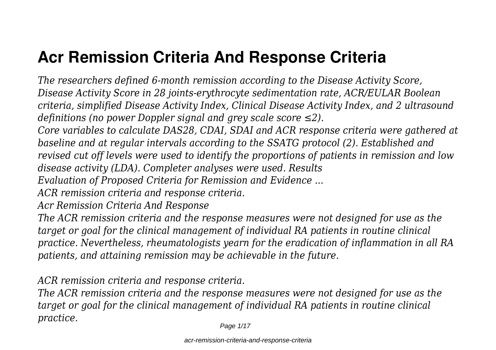# **Acr Remission Criteria And Response Criteria**

*The researchers defined 6-month remission according to the Disease Activity Score, Disease Activity Score in 28 joints-erythrocyte sedimentation rate, ACR/EULAR Boolean criteria, simplified Disease Activity Index, Clinical Disease Activity Index, and 2 ultrasound definitions (no power Doppler signal and grey scale score ≤2).*

*Core variables to calculate DAS28, CDAI, SDAI and ACR response criteria were gathered at baseline and at regular intervals according to the SSATG protocol (2). Established and revised cut off levels were used to identify the proportions of patients in remission and low disease activity (LDA). Completer analyses were used. Results*

*Evaluation of Proposed Criteria for Remission and Evidence ...*

*ACR remission criteria and response criteria.*

*Acr Remission Criteria And Response*

*The ACR remission criteria and the response measures were not designed for use as the target or goal for the clinical management of individual RA patients in routine clinical practice. Nevertheless, rheumatologists yearn for the eradication of inflammation in all RA patients, and attaining remission may be achievable in the future.*

*ACR remission criteria and response criteria.*

*The ACR remission criteria and the response measures were not designed for use as the target or goal for the clinical management of individual RA patients in routine clinical practice.*

Page 1/17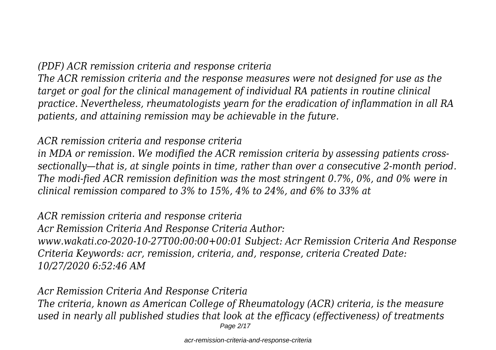#### *(PDF) ACR remission criteria and response criteria*

*The ACR remission criteria and the response measures were not designed for use as the target or goal for the clinical management of individual RA patients in routine clinical practice. Nevertheless, rheumatologists yearn for the eradication of inflammation in all RA patients, and attaining remission may be achievable in the future.*

#### *ACR remission criteria and response criteria*

*in MDA or remission. We modified the ACR remission criteria by assessing patients crosssectionally—that is, at single points in time, rather than over a consecutive 2-month period. The modi-fied ACR remission definition was the most stringent 0.7%, 0%, and 0% were in clinical remission compared to 3% to 15%, 4% to 24%, and 6% to 33% at*

#### *ACR remission criteria and response criteria Acr Remission Criteria And Response Criteria Author: www.wakati.co-2020-10-27T00:00:00+00:01 Subject: Acr Remission Criteria And Response Criteria Keywords: acr, remission, criteria, and, response, criteria Created Date: 10/27/2020 6:52:46 AM*

#### *Acr Remission Criteria And Response Criteria The criteria, known as American College of Rheumatology (ACR) criteria, is the measure used in nearly all published studies that look at the efficacy (effectiveness) of treatments* Page 2/17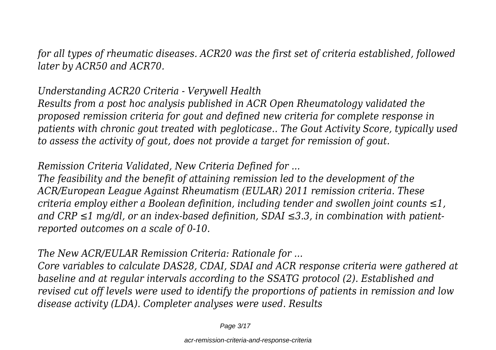*for all types of rheumatic diseases. ACR20 was the first set of criteria established, followed later by ACR50 and ACR70.*

# *Understanding ACR20 Criteria - Verywell Health*

*Results from a post hoc analysis published in ACR Open Rheumatology validated the proposed remission criteria for gout and defined new criteria for complete response in patients with chronic gout treated with pegloticase.. The Gout Activity Score, typically used to assess the activity of gout, does not provide a target for remission of gout.*

# *Remission Criteria Validated, New Criteria Defined for ...*

*The feasibility and the benefit of attaining remission led to the development of the ACR/European League Against Rheumatism (EULAR) 2011 remission criteria. These criteria employ either a Boolean definition, including tender and swollen joint counts ≤1, and CRP ≤1 mg/dl, or an index-based definition, SDAI ≤3.3, in combination with patientreported outcomes on a scale of 0-10.*

# *The New ACR/EULAR Remission Criteria: Rationale for ...*

*Core variables to calculate DAS28, CDAI, SDAI and ACR response criteria were gathered at baseline and at regular intervals according to the SSATG protocol (2). Established and revised cut off levels were used to identify the proportions of patients in remission and low disease activity (LDA). Completer analyses were used. Results*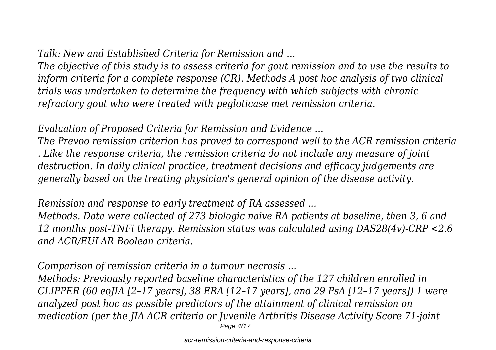*Talk: New and Established Criteria for Remission and ...*

*The objective of this study is to assess criteria for gout remission and to use the results to inform criteria for a complete response (CR). Methods A post hoc analysis of two clinical trials was undertaken to determine the frequency with which subjects with chronic refractory gout who were treated with pegloticase met remission criteria.*

*Evaluation of Proposed Criteria for Remission and Evidence ...*

*The Prevoo remission criterion has proved to correspond well to the ACR remission criteria . Like the response criteria, the remission criteria do not include any measure of joint destruction. In daily clinical practice, treatment decisions and efficacy judgements are generally based on the treating physician's general opinion of the disease activity.*

*Remission and response to early treatment of RA assessed ...*

*Methods. Data were collected of 273 biologic naive RA patients at baseline, then 3, 6 and 12 months post-TNFi therapy. Remission status was calculated using DAS28(4v)-CRP <2.6 and ACR/EULAR Boolean criteria.*

*Comparison of remission criteria in a tumour necrosis ...*

*Methods: Previously reported baseline characteristics of the 127 children enrolled in CLIPPER (60 eoJIA [2–17 years], 38 ERA [12–17 years], and 29 PsA [12–17 years]) 1 were analyzed post hoc as possible predictors of the attainment of clinical remission on medication (per the JIA ACR criteria or Juvenile Arthritis Disease Activity Score 71-joint* Page 4/17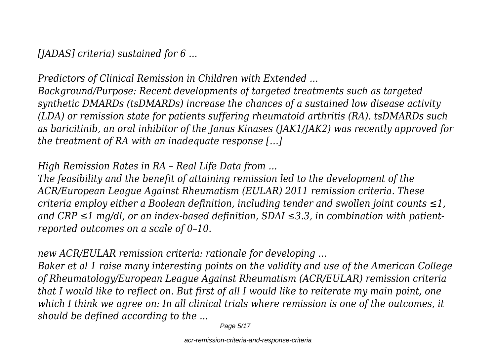*[JADAS] criteria) sustained for 6 ...*

*Predictors of Clinical Remission in Children with Extended ... Background/Purpose: Recent developments of targeted treatments such as targeted synthetic DMARDs (tsDMARDs) increase the chances of a sustained low disease activity (LDA) or remission state for patients suffering rheumatoid arthritis (RA). tsDMARDs such as baricitinib, an oral inhibitor of the Janus Kinases (JAK1/JAK2) was recently approved for the treatment of RA with an inadequate response […]*

*High Remission Rates in RA – Real Life Data from ...*

*The feasibility and the benefit of attaining remission led to the development of the ACR/European League Against Rheumatism (EULAR) 2011 remission criteria. These criteria employ either a Boolean definition, including tender and swollen joint counts ≤1, and CRP ≤1 mg/dl, or an index-based definition, SDAI ≤3.3, in combination with patientreported outcomes on a scale of 0–10.*

*new ACR/EULAR remission criteria: rationale for developing ...*

*Baker et al 1 raise many interesting points on the validity and use of the American College of Rheumatology/European League Against Rheumatism (ACR/EULAR) remission criteria that I would like to reflect on. But first of all I would like to reiterate my main point, one which I think we agree on: In all clinical trials where remission is one of the outcomes, it should be defined according to the ...*

Page 5/17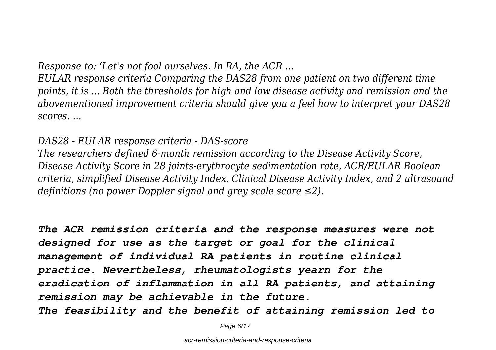*Response to: 'Let's not fool ourselves. In RA, the ACR ...*

*EULAR response criteria Comparing the DAS28 from one patient on two different time points, it is ... Both the thresholds for high and low disease activity and remission and the abovementioned improvement criteria should give you a feel how to interpret your DAS28 scores. ...*

*DAS28 - EULAR response criteria - DAS-score*

*The researchers defined 6-month remission according to the Disease Activity Score, Disease Activity Score in 28 joints-erythrocyte sedimentation rate, ACR/EULAR Boolean criteria, simplified Disease Activity Index, Clinical Disease Activity Index, and 2 ultrasound definitions (no power Doppler signal and grey scale score ≤2).*

*The ACR remission criteria and the response measures were not designed for use as the target or goal for the clinical management of individual RA patients in routine clinical practice. Nevertheless, rheumatologists yearn for the eradication of inflammation in all RA patients, and attaining remission may be achievable in the future. The feasibility and the benefit of attaining remission led to*

Page 6/17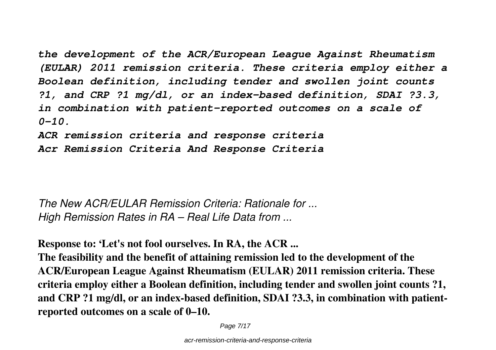*the development of the ACR/European League Against Rheumatism (EULAR) 2011 remission criteria. These criteria employ either a Boolean definition, including tender and swollen joint counts ?1, and CRP ?1 mg/dl, or an index-based definition, SDAI ?3.3, in combination with patient-reported outcomes on a scale of 0-10. ACR remission criteria and response criteria*

*Acr Remission Criteria And Response Criteria*

*The New ACR/EULAR Remission Criteria: Rationale for ... High Remission Rates in RA – Real Life Data from ...*

**Response to: 'Let's not fool ourselves. In RA, the ACR ...**

**The feasibility and the benefit of attaining remission led to the development of the ACR/European League Against Rheumatism (EULAR) 2011 remission criteria. These criteria employ either a Boolean definition, including tender and swollen joint counts ?1, and CRP ?1 mg/dl, or an index-based definition, SDAI ?3.3, in combination with patientreported outcomes on a scale of 0–10.**

Page 7/17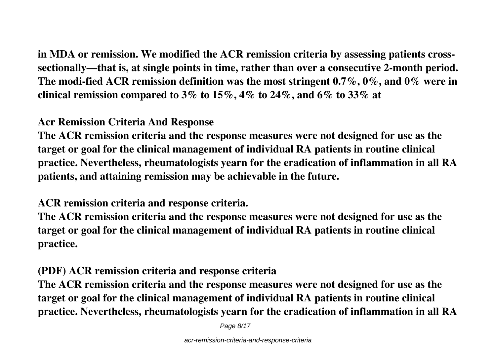**in MDA or remission. We modified the ACR remission criteria by assessing patients crosssectionally—that is, at single points in time, rather than over a consecutive 2-month period. The modi-fied ACR remission definition was the most stringent 0.7%, 0%, and 0% were in clinical remission compared to 3% to 15%, 4% to 24%, and 6% to 33% at**

#### **Acr Remission Criteria And Response**

**The ACR remission criteria and the response measures were not designed for use as the target or goal for the clinical management of individual RA patients in routine clinical practice. Nevertheless, rheumatologists yearn for the eradication of inflammation in all RA patients, and attaining remission may be achievable in the future.**

#### **ACR remission criteria and response criteria.**

**The ACR remission criteria and the response measures were not designed for use as the target or goal for the clinical management of individual RA patients in routine clinical practice.**

# **(PDF) ACR remission criteria and response criteria**

**The ACR remission criteria and the response measures were not designed for use as the target or goal for the clinical management of individual RA patients in routine clinical practice. Nevertheless, rheumatologists yearn for the eradication of inflammation in all RA**

Page 8/17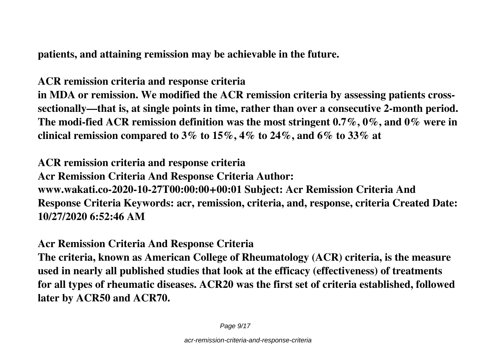**patients, and attaining remission may be achievable in the future.**

**ACR remission criteria and response criteria in MDA or remission. We modified the ACR remission criteria by assessing patients crosssectionally—that is, at single points in time, rather than over a consecutive 2-month period.**

**The modi-fied ACR remission definition was the most stringent 0.7%, 0%, and 0% were in clinical remission compared to 3% to 15%, 4% to 24%, and 6% to 33% at**

**ACR remission criteria and response criteria Acr Remission Criteria And Response Criteria Author: www.wakati.co-2020-10-27T00:00:00+00:01 Subject: Acr Remission Criteria And Response Criteria Keywords: acr, remission, criteria, and, response, criteria Created Date: 10/27/2020 6:52:46 AM**

**Acr Remission Criteria And Response Criteria**

**The criteria, known as American College of Rheumatology (ACR) criteria, is the measure used in nearly all published studies that look at the efficacy (effectiveness) of treatments for all types of rheumatic diseases. ACR20 was the first set of criteria established, followed later by ACR50 and ACR70.**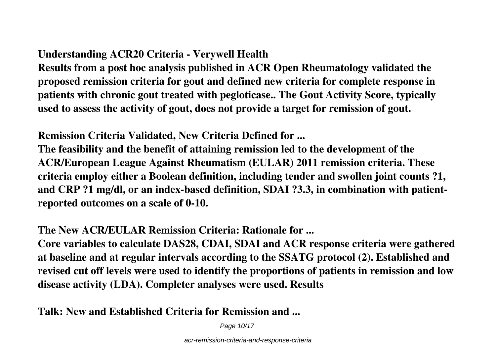# **Understanding ACR20 Criteria - Verywell Health**

**Results from a post hoc analysis published in ACR Open Rheumatology validated the proposed remission criteria for gout and defined new criteria for complete response in patients with chronic gout treated with pegloticase.. The Gout Activity Score, typically used to assess the activity of gout, does not provide a target for remission of gout.**

**Remission Criteria Validated, New Criteria Defined for ...**

**The feasibility and the benefit of attaining remission led to the development of the ACR/European League Against Rheumatism (EULAR) 2011 remission criteria. These criteria employ either a Boolean definition, including tender and swollen joint counts ?1, and CRP ?1 mg/dl, or an index-based definition, SDAI ?3.3, in combination with patientreported outcomes on a scale of 0-10.**

#### **The New ACR/EULAR Remission Criteria: Rationale for ...**

**Core variables to calculate DAS28, CDAI, SDAI and ACR response criteria were gathered at baseline and at regular intervals according to the SSATG protocol (2). Established and revised cut off levels were used to identify the proportions of patients in remission and low disease activity (LDA). Completer analyses were used. Results**

**Talk: New and Established Criteria for Remission and ...**

Page 10/17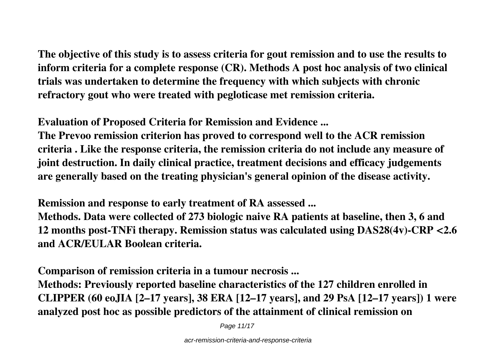**The objective of this study is to assess criteria for gout remission and to use the results to inform criteria for a complete response (CR). Methods A post hoc analysis of two clinical trials was undertaken to determine the frequency with which subjects with chronic refractory gout who were treated with pegloticase met remission criteria.**

**Evaluation of Proposed Criteria for Remission and Evidence ...**

**The Prevoo remission criterion has proved to correspond well to the ACR remission criteria . Like the response criteria, the remission criteria do not include any measure of joint destruction. In daily clinical practice, treatment decisions and efficacy judgements are generally based on the treating physician's general opinion of the disease activity.**

**Remission and response to early treatment of RA assessed ...**

**Methods. Data were collected of 273 biologic naive RA patients at baseline, then 3, 6 and 12 months post-TNFi therapy. Remission status was calculated using DAS28(4v)-CRP <2.6 and ACR/EULAR Boolean criteria.**

**Comparison of remission criteria in a tumour necrosis ...**

**Methods: Previously reported baseline characteristics of the 127 children enrolled in CLIPPER (60 eoJIA [2–17 years], 38 ERA [12–17 years], and 29 PsA [12–17 years]) 1 were analyzed post hoc as possible predictors of the attainment of clinical remission on**

Page 11/17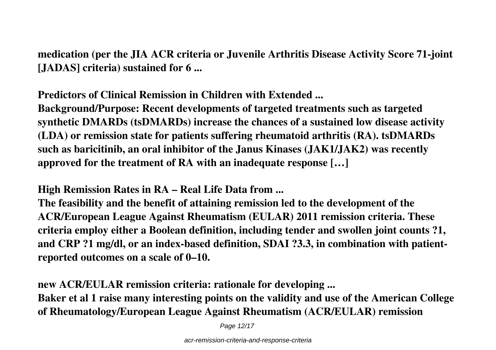**medication (per the JIA ACR criteria or Juvenile Arthritis Disease Activity Score 71-joint [JADAS] criteria) sustained for 6 ...**

**Predictors of Clinical Remission in Children with Extended ...**

**Background/Purpose: Recent developments of targeted treatments such as targeted synthetic DMARDs (tsDMARDs) increase the chances of a sustained low disease activity (LDA) or remission state for patients suffering rheumatoid arthritis (RA). tsDMARDs such as baricitinib, an oral inhibitor of the Janus Kinases (JAK1/JAK2) was recently approved for the treatment of RA with an inadequate response […]**

**High Remission Rates in RA – Real Life Data from ...**

**The feasibility and the benefit of attaining remission led to the development of the ACR/European League Against Rheumatism (EULAR) 2011 remission criteria. These criteria employ either a Boolean definition, including tender and swollen joint counts ?1, and CRP ?1 mg/dl, or an index-based definition, SDAI ?3.3, in combination with patientreported outcomes on a scale of 0–10.**

**new ACR/EULAR remission criteria: rationale for developing ...**

**Baker et al 1 raise many interesting points on the validity and use of the American College of Rheumatology/European League Against Rheumatism (ACR/EULAR) remission**

Page 12/17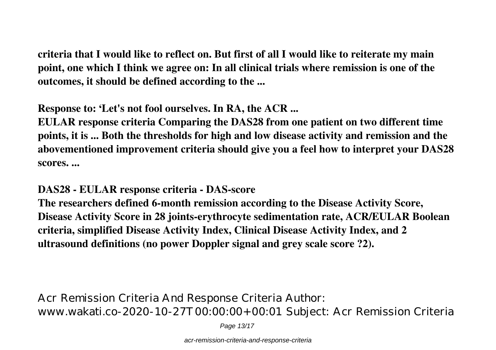**criteria that I would like to reflect on. But first of all I would like to reiterate my main point, one which I think we agree on: In all clinical trials where remission is one of the outcomes, it should be defined according to the ...**

**Response to: 'Let's not fool ourselves. In RA, the ACR ...**

**EULAR response criteria Comparing the DAS28 from one patient on two different time points, it is ... Both the thresholds for high and low disease activity and remission and the abovementioned improvement criteria should give you a feel how to interpret your DAS28 scores. ...**

**DAS28 - EULAR response criteria - DAS-score**

**The researchers defined 6-month remission according to the Disease Activity Score, Disease Activity Score in 28 joints-erythrocyte sedimentation rate, ACR/EULAR Boolean criteria, simplified Disease Activity Index, Clinical Disease Activity Index, and 2 ultrasound definitions (no power Doppler signal and grey scale score ?2).**

Acr Remission Criteria And Response Criteria Author: www.wakati.co-2020-10-27T00:00:00+00:01 Subject: Acr Remission Criteria

Page 13/17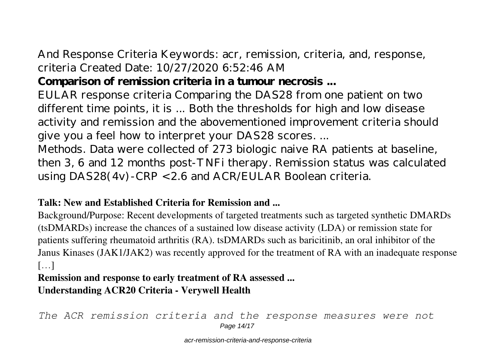And Response Criteria Keywords: acr, remission, criteria, and, response, criteria Created Date: 10/27/2020 6:52:46 AM

# **Comparison of remission criteria in a tumour necrosis ...**

EULAR response criteria Comparing the DAS28 from one patient on two different time points, it is ... Both the thresholds for high and low disease activity and remission and the abovementioned improvement criteria should give you a feel how to interpret your DAS28 scores. ...

Methods. Data were collected of 273 biologic naive RA patients at baseline, then 3, 6 and 12 months post-TNFi therapy. Remission status was calculated using  $DAS28(4v)$ -CRP < 2.6 and  $ACR/EULAR$  Boolean criteria.

#### **Talk: New and Established Criteria for Remission and ...**

Background/Purpose: Recent developments of targeted treatments such as targeted synthetic DMARDs (tsDMARDs) increase the chances of a sustained low disease activity (LDA) or remission state for patients suffering rheumatoid arthritis (RA). tsDMARDs such as baricitinib, an oral inhibitor of the Janus Kinases (JAK1/JAK2) was recently approved for the treatment of RA with an inadequate response […]

#### **Remission and response to early treatment of RA assessed ... Understanding ACR20 Criteria - Verywell Health**

*The ACR remission criteria and the response measures were not* Page 14/17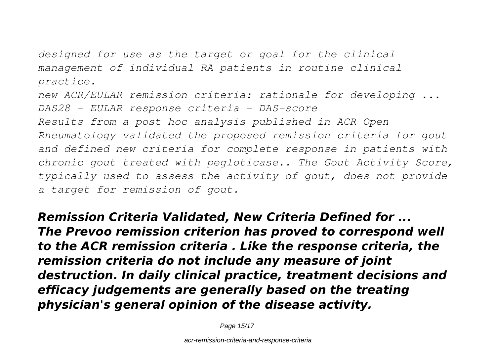*designed for use as the target or goal for the clinical management of individual RA patients in routine clinical practice.*

*new ACR/EULAR remission criteria: rationale for developing ... DAS28 - EULAR response criteria - DAS-score Results from a post hoc analysis published in ACR Open Rheumatology validated the proposed remission criteria for gout and defined new criteria for complete response in patients with chronic gout treated with pegloticase.. The Gout Activity Score, typically used to assess the activity of gout, does not provide a target for remission of gout.*

*Remission Criteria Validated, New Criteria Defined for ... The Prevoo remission criterion has proved to correspond well to the ACR remission criteria . Like the response criteria, the remission criteria do not include any measure of joint destruction. In daily clinical practice, treatment decisions and efficacy judgements are generally based on the treating physician's general opinion of the disease activity.*

Page 15/17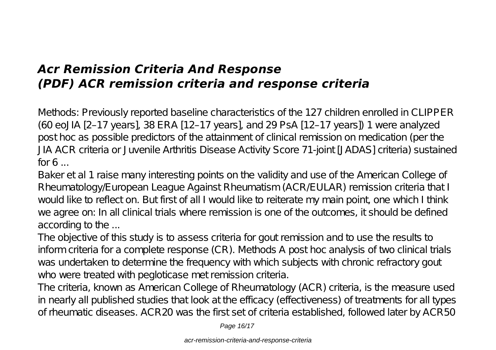# *Acr Remission Criteria And Response (PDF) ACR remission criteria and response criteria*

Methods: Previously reported baseline characteristics of the 127 children enrolled in CLIPPER (60 eoJIA [2–17 years], 38 ERA [12–17 years], and 29 PsA [12–17 years]) 1 were analyzed post hoc as possible predictors of the attainment of clinical remission on medication (per the JIA ACR criteria or Juvenile Arthritis Disease Activity Score 71-joint [JADAS] criteria) sustained  $for 6...$ 

Baker et al 1 raise many interesting points on the validity and use of the American College of Rheumatology/European League Against Rheumatism (ACR/EULAR) remission criteria that I would like to reflect on. But first of all I would like to reiterate my main point, one which I think we agree on: In all clinical trials where remission is one of the outcomes, it should be defined according to the ...

The objective of this study is to assess criteria for gout remission and to use the results to inform criteria for a complete response (CR). Methods A post hoc analysis of two clinical trials was undertaken to determine the frequency with which subjects with chronic refractory gout who were treated with pegloticase met remission criteria.

The criteria, known as American College of Rheumatology (ACR) criteria, is the measure used in nearly all published studies that look at the efficacy (effectiveness) of treatments for all types of rheumatic diseases. ACR20 was the first set of criteria established, followed later by ACR50

Page 16/17